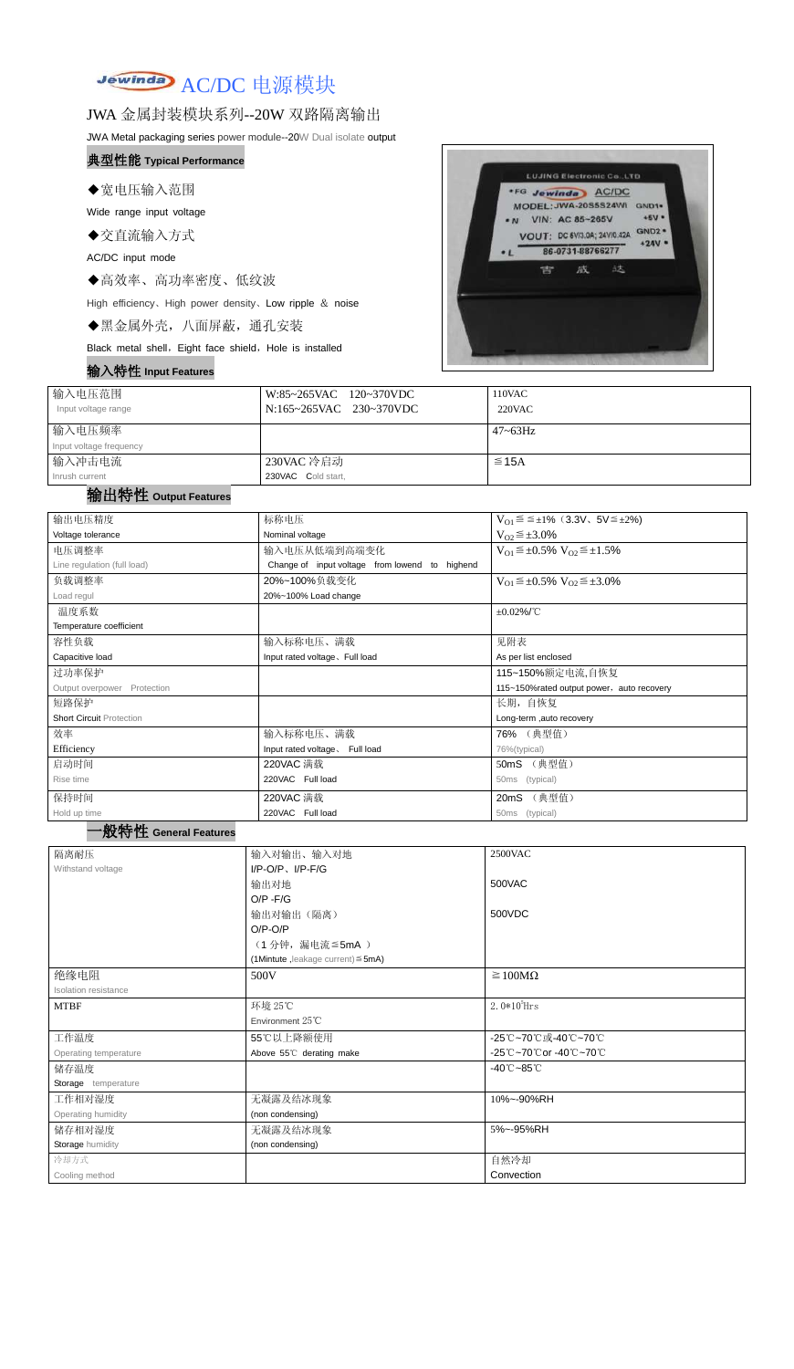

## JWA 金属封装模块系列--20W 双路隔离输出

JWA Metal packaging series power module--20W Dual isolate output

#### 典型性能 **Typical Performance**

◆宽电压输入范围

Wide range input voltage

◆交直流输入方式

AC/DC input mode

◆高效率、高功率密度、低纹波

High efficiency、High power density、Low ripple & noise

◆黑金属外壳,八面屏蔽,通孔安装

Black metal shell, Eight face shield, Hole is installed

#### 输入特性 **Input Features**



| 输入电压范围<br>Input voltage range | W:85~265VAC 120~370VDC<br>N:165~265VAC 230~370VDC | 110VAC<br>220VAC |
|-------------------------------|---------------------------------------------------|------------------|
| 输入电压频率                        |                                                   | $47 \sim 63$ Hz  |
| Input voltage frequency       |                                                   |                  |
| 输入冲击电流                        | 230VAC 冷启动                                        | $\leq$ 15A       |
| Inrush current                | 230VAC Cold start,                                |                  |

## 输出特性 **Output Features**

#### 一般特性 **General Features**

| 输出电压精度                          | 标称电压                                           | $V_{01} \le \le \pm 1\%$ (3.3V, 5V $\le \pm 2\%$ )    |  |  |
|---------------------------------|------------------------------------------------|-------------------------------------------------------|--|--|
| Voltage tolerance               | Nominal voltage                                | $V_{02} \leq \pm 3.0\%$                               |  |  |
| 电压调整率                           | 输入电压从低端到高端变化                                   | $V_{O1} \leq \pm 0.5\% \ V_{O2} \leq \pm 1.5\%$       |  |  |
| Line regulation (full load)     | Change of input voltage from lowend to highend |                                                       |  |  |
| 负载调整率                           | 20%~100%负载变化                                   | $V_{O1} \leq \pm 0.5\% \text{ V}_{O2} \leq \pm 3.0\%$ |  |  |
| Load regul                      | 20%~100% Load change                           |                                                       |  |  |
| 温度系数                            |                                                | $\pm 0.02\%$ /°C                                      |  |  |
| Temperature coefficient         |                                                |                                                       |  |  |
| 容性负载                            | 输入标称电压、满载                                      | 见附表                                                   |  |  |
| Capacitive load                 | Input rated voltage, Full load                 | As per list enclosed                                  |  |  |
| 过功率保护                           |                                                | 115~150%额定电流,自恢复                                      |  |  |
| Output overpower Protection     |                                                | 115~150%rated output power, auto recovery             |  |  |
| 短路保护                            |                                                | 长期, 自恢复                                               |  |  |
| <b>Short Circuit Protection</b> |                                                | Long-term ,auto recovery                              |  |  |
| 效率                              | 输入标称电压、满载                                      | 76% (典型值)                                             |  |  |
| Efficiency                      | Input rated voltage. Full load                 | 76%(typical)                                          |  |  |
| 启动时间                            | 220VAC 满载                                      | 50mS (典型值)                                            |  |  |
| Rise time                       | 220VAC Full load                               | 50ms (typical)                                        |  |  |
| 保持时间                            | 220VAC 满载                                      | 20mS (典型值)                                            |  |  |
| Hold up time<br>.               | 220VAC Full load                               | (typical)<br>50ms                                     |  |  |

| 隔离耐压                  | 输入对输出、输入对地                              | <b>2500VAC</b>                  |
|-----------------------|-----------------------------------------|---------------------------------|
| Withstand voltage     | $I/P-O/P$ , $I/P-F/G$                   |                                 |
|                       | 输出对地                                    | 500VAC                          |
|                       | $O/P - F/G$                             |                                 |
|                       | 输出对输出(隔离)                               | 500VDC                          |
|                       | $O/P-O/P$                               |                                 |
|                       | (1分钟,漏电流 ≦ 5mA)                         |                                 |
|                       | (1Mintute, leakage current) $\leq$ 5mA) |                                 |
| 绝缘电阻                  | 500V                                    | $\geq 100M\Omega$               |
| Isolation resistance  |                                         |                                 |
| <b>MTBF</b>           | 环境 25℃                                  | $2.0*105$ Hrs                   |
|                       | Environment $25^{\circ}$ C              |                                 |
| 工作温度                  | 55℃以上降额使用                               | -25℃~70℃或-40℃~70℃               |
| Operating temperature | Above 55°C derating make                | -25℃~70℃or -40℃~70℃             |
| 储存温度                  |                                         | $-40^{\circ}$ C $-85^{\circ}$ C |
| Storage temperature   |                                         |                                 |
| 工作相对湿度                | 无凝露及结冰现象                                | 10%~-90%RH                      |
| Operating humidity    | (non condensing)                        |                                 |
| 储存相对湿度                | 无凝露及结冰现象                                | 5%~-95%RH                       |
| Storage humidity      | (non condensing)                        |                                 |
| 冷却方式                  |                                         | 自然冷却                            |
| Cooling method        |                                         | Convection                      |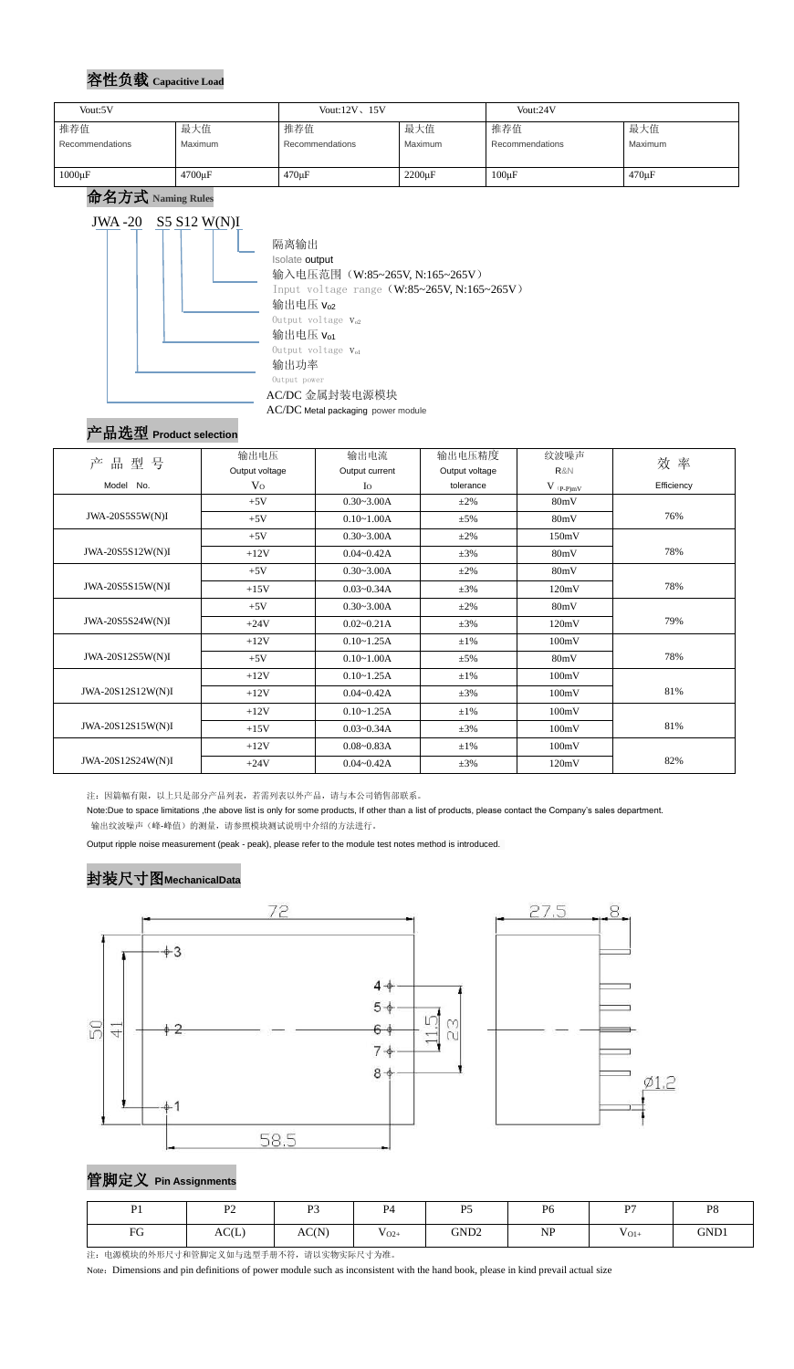## 容性负载 **Capacitive Load**

命名方式 **Naming Rules** JWA -20 S5 S12 W(N)I 隔离输出 Isolate output 输入电压范围(W:85~265V, N:165~265V) Input voltage range (W:85~265V, N:165~265V) 输出电压 $v_{o2}$ Output voltage  $V_{o2}$ 输出电压 $V_{01}$ Output voltage  $V_{o1}$ 输出功率 Output power AC/DC 金属封装电源模块 AC/DC Metal packaging power module

# 产品选型 **Product selection**

| 品型号<br>产          | 输出电压<br>Output voltage | 输出电流<br>Output current | 输出电压精度<br>Output voltage | 纹波噪声<br>R&N | 效率         |
|-------------------|------------------------|------------------------|--------------------------|-------------|------------|
| Model No.         | V <sub>O</sub>         | $I_{\rm O}$            | tolerance                | $V$ (p-p)mV | Efficiency |
|                   | $+5V$                  | $0.30 - 3.00A$         | $\pm 2\%$                | 80mV        |            |
| JWA-20S5S5W(N)I   | $+5V$                  | $0.10 - 1.00A$         | $\pm$ 5%                 | 80mV        | 76%        |
|                   | $+5V$                  | $0.30 - 3.00A$         | $\pm 2\%$                | 150mV       |            |
| JWA-20S5S12W(N)I  | $+12V$                 | $0.04 - 0.42A$         | $\pm 3\%$                | 80mV        | 78%        |
|                   | $+5V$                  | $0.30 - 3.00A$         | $\pm 2\%$                | 80mV        |            |
| JWA-20S5S15W(N)I  | $+15V$                 | $0.03 - 0.34A$         | $\pm 3\%$                | 120mV       | 78%        |
|                   | $+5V$                  | $0.30 - 3.00A$         | $\pm 2\%$                | 80mV        |            |
| JWA-20S5S24W(N)I  | $+24V$                 | $0.02 - 0.21A$         | $\pm 3\%$                | 120mV       | 79%        |
|                   | $+12V$                 | $0.10 - 1.25A$         | $\pm 1\%$                | 100mV       |            |
| JWA-20S12S5W(N)I  | $+5V$                  | $0.10 - 1.00A$         | $\pm$ 5%                 | 80mV        | 78%        |
|                   | $+12V$                 | $0.10 - 1.25A$         | $\pm 1\%$                | 100mV       |            |
| JWA-20S12S12W(N)I | $+12V$                 | $0.04 - 0.42A$         | $\pm 3\%$                | 100mV       | 81%        |
|                   | $+12V$                 | $0.10 - 1.25A$         | $\pm 1\%$                | 100mV       |            |
| JWA-20S12S15W(N)I | $+15V$                 | $0.03 - 0.34A$         | $\pm 3\%$                | 100mV       | 81%        |
|                   | $+12V$                 | $0.08 - 0.83A$         | $\pm 1\%$                | 100mV       |            |
| JWA-20S12S24W(N)I | $+24V$                 | $0.04 - 0.42A$         | $\pm 3\%$                | 120mV       | 82%        |

注:因篇幅有限,以上只是部分产品列表,若需列表以外产品,请与本公司销售部联系。

Note:Due to space limitations ,the above list is only for some products, If other than a list of products, please contact the Company's sales department. 输出纹波噪声(峰-峰值)的测量,请参照模块测试说明中介绍的方法进行。

Output ripple noise measurement (peak - peak), please refer to the module test notes method is introduced.

## 封装尺寸图**MechanicalData**



# 管脚定义 **Pin Assignments**

注:电源模块的外形尺寸和管脚定义如与选型手册不符,请以实物实际尺寸为准。

Note: Dimensions and pin definitions of power module such as inconsistent with the hand book, please in kind prevail actual size

| Vout:5V                |         | Vout: $12V$ , $15V$ |              | Vout:24V        |             |
|------------------------|---------|---------------------|--------------|-----------------|-------------|
| 推荐值                    | 最大值     | 推荐值                 | 最大值          | 推荐值             | 最大值         |
| <b>Recommendations</b> | Maximum | Recommendations     | Maximum      | Recommendations | Maximum     |
|                        |         |                     |              |                 |             |
| $1000\mu F$            | 4700µF  | $470 \mu F$         | $2200 \mu F$ | $100\mu F$      | $470 \mu F$ |

| D <sub>1</sub> | D <sub>2</sub><br>$\sim$ | $\mathbf{D}$<br>$\overline{ }$ | P <sub>4</sub> | P <sub>5</sub>   | P <sub>6</sub> | D7        | P <sub>8</sub> |
|----------------|--------------------------|--------------------------------|----------------|------------------|----------------|-----------|----------------|
| FG             | AC(L)                    | AC(N)                          | T<br>$V_{O2+}$ | GND <sub>2</sub> | NP             | $V_{O1+}$ | GND1           |